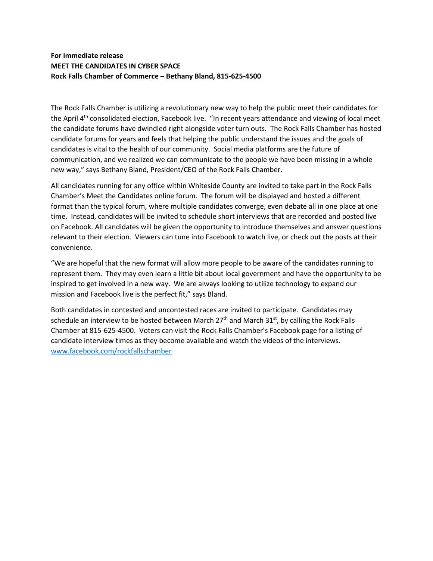## **For immediate release MEET THE CANDIDATES IN CYBER SPACE Rock Falls Chamber of Commerce – Bethany Bland, 815-625-4500**

The Rock Falls Chamber is utilizing a revolutionary new way to help the public meet their candidates for the April 4<sup>th</sup> consolidated election, Facebook live. "In recent years attendance and viewing of local meet the candidate forums have dwindled right alongside voter turn outs. The Rock Falls Chamber has hosted candidate forums for years and feels that helping the public understand the issues and the goals of candidates is vital to the health of our community. Social media platforms are the future of communication, and we realized we can communicate to the people we have been missing in a whole new way," says Bethany Bland, President/CEO of the Rock Falls Chamber.

All candidates running for any office within Whiteside County are invited to take part in the Rock Falls Chamber's Meet the Candidates online forum. The forum will be displayed and hosted a different format than the typical forum, where multiple candidates converge, even debate all in one place at one time. Instead, candidates will be invited to schedule short interviews that are recorded and posted live on Facebook. All candidates will be given the opportunity to introduce themselves and answer questions relevant to their election. Viewers can tune into Facebook to watch live, or check out the posts at their convenience.

"We are hopeful that the new format will allow more people to be aware of the candidates running to represent them. They may even learn a little bit about local government and have the opportunity to be inspired to get involved in a new way. We are always looking to utilize technology to expand our mission and Facebook live is the perfect fit," says Bland.

Both candidates in contested and uncontested races are invited to participate. Candidates may schedule an interview to be hosted between March  $27<sup>th</sup>$  and March  $31<sup>st</sup>$ , by calling the Rock Falls Chamber at 815-625-4500. Voters can visit the Rock Falls Chamber's Facebook page for a listing of candidate interview times as they become available and watch the videos of the interviews. [www.facebook.com/rockfallschamber](http://www.facebook.com/rockfallschamber)